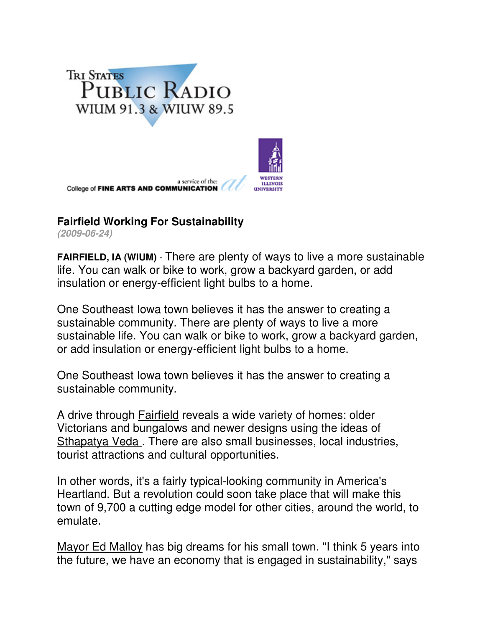



## **Fairfield Working For Sustainability**

**(2009-06-24)**

**FAIRFIELD, IA (WIUM)** - There are plenty of ways to live a more sustainable life. You can walk or bike to work, grow a backyard garden, or add insulation or energy-efficient light bulbs to a home.

One Southeast Iowa town believes it has the answer to creating a sustainable community. There are plenty of ways to live a more sustainable life. You can walk or bike to work, grow a backyard garden, or add insulation or energy-efficient light bulbs to a home.

One Southeast Iowa town believes it has the answer to creating a sustainable community.

A drive through Fairfield reveals a wide variety of homes: older Victorians and bungalows and newer designs using the ideas of Sthapatya Veda . There are also small businesses, local industries, tourist attractions and cultural opportunities.

In other words, it's a fairly typical-looking community in America's Heartland. But a revolution could soon take place that will make this town of 9,700 a cutting edge model for other cities, around the world, to emulate.

Mayor Ed Malloy has big dreams for his small town. "I think 5 years into the future, we have an economy that is engaged in sustainability," says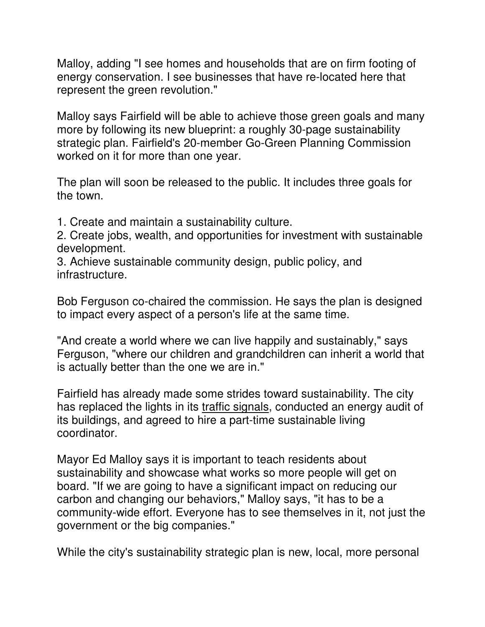Malloy, adding "I see homes and households that are on firm footing of energy conservation. I see businesses that have re-located here that represent the green revolution."

Malloy says Fairfield will be able to achieve those green goals and many more by following its new blueprint: a roughly 30-page sustainability strategic plan. Fairfield's 20-member Go-Green Planning Commission worked on it for more than one year.

The plan will soon be released to the public. It includes three goals for the town.

1. Create and maintain a sustainability culture.

2. Create jobs, wealth, and opportunities for investment with sustainable development.

3. Achieve sustainable community design, public policy, and infrastructure.

Bob Ferguson co-chaired the commission. He says the plan is designed to impact every aspect of a person's life at the same time.

"And create a world where we can live happily and sustainably," says Ferguson, "where our children and grandchildren can inherit a world that is actually better than the one we are in."

Fairfield has already made some strides toward sustainability. The city has replaced the lights in its traffic signals, conducted an energy audit of its buildings, and agreed to hire a part-time sustainable living coordinator.

Mayor Ed Malloy says it is important to teach residents about sustainability and showcase what works so more people will get on board. "If we are going to have a significant impact on reducing our carbon and changing our behaviors," Malloy says, "it has to be a community-wide effort. Everyone has to see themselves in it, not just the government or the big companies."

While the city's sustainability strategic plan is new, local, more personal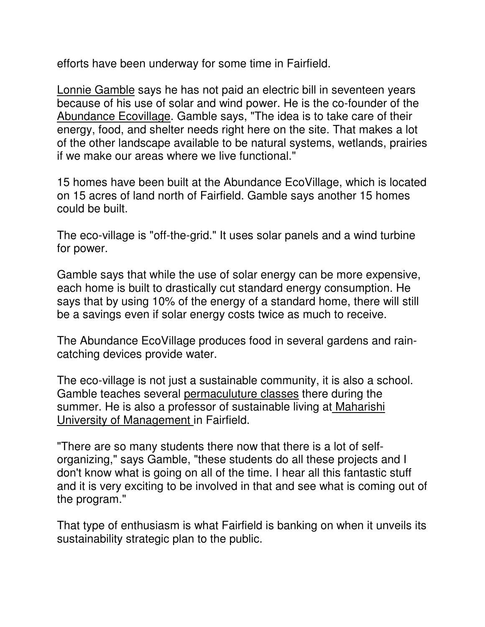efforts have been underway for some time in Fairfield.

Lonnie Gamble says he has not paid an electric bill in seventeen years because of his use of solar and wind power. He is the co-founder of the Abundance Ecovillage. Gamble says, "The idea is to take care of their energy, food, and shelter needs right here on the site. That makes a lot of the other landscape available to be natural systems, wetlands, prairies if we make our areas where we live functional."

15 homes have been built at the Abundance EcoVillage, which is located on 15 acres of land north of Fairfield. Gamble says another 15 homes could be built.

The eco-village is "off-the-grid." It uses solar panels and a wind turbine for power.

Gamble says that while the use of solar energy can be more expensive, each home is built to drastically cut standard energy consumption. He says that by using 10% of the energy of a standard home, there will still be a savings even if solar energy costs twice as much to receive.

The Abundance EcoVillage produces food in several gardens and raincatching devices provide water.

The eco-village is not just a sustainable community, it is also a school. Gamble teaches several permaculuture classes there during the summer. He is also a professor of sustainable living at Maharishi University of Management in Fairfield.

"There are so many students there now that there is a lot of selforganizing," says Gamble, "these students do all these projects and I don't know what is going on all of the time. I hear all this fantastic stuff and it is very exciting to be involved in that and see what is coming out of the program."

That type of enthusiasm is what Fairfield is banking on when it unveils its sustainability strategic plan to the public.